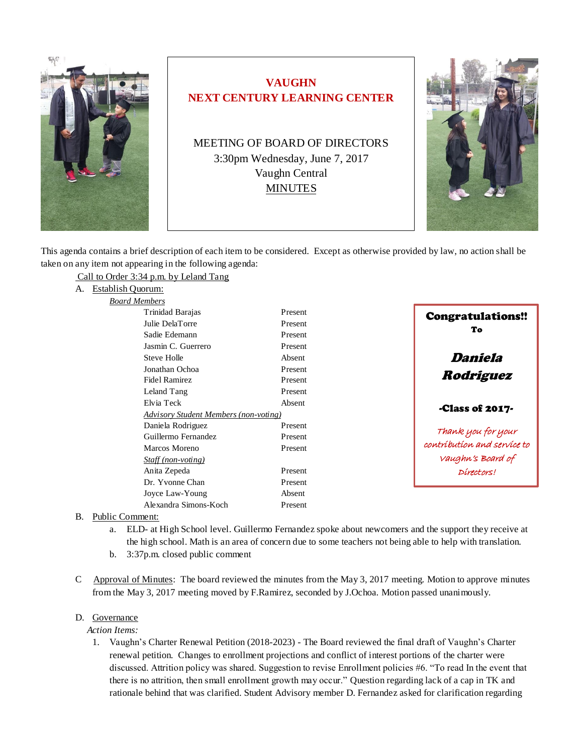

# **VAUGHN NEXT CENTURY LEARNING CENTER**

MEETING OF BOARD OF DIRECTORS 3:30pm Wednesday, June 7, 2017 Vaughn Central MINUTES



This agenda contains a brief description of each item to be considered. Except as otherwise provided by law, no action shall be taken on any item not appearing in the following agenda:

Call to Order 3:34 p.m. by Leland Tang

A. Establish Quorum: *Board Members*

| vienwers |                                       |         |
|----------|---------------------------------------|---------|
|          | Trinidad Barajas                      | Present |
|          | Julie DelaTorre                       | Present |
|          | Sadie Edemann                         | Present |
|          | Jasmin C. Guerrero                    | Present |
|          | Steve Holle                           | Absent  |
|          | Jonathan Ochoa                        | Present |
|          | Fidel Ramirez                         | Present |
|          | Leland Tang                           | Present |
|          | Elvia Teck                            | Absent  |
|          | Advisory Student Members (non-voting) |         |
|          | Daniela Rodriguez                     | Present |
|          | Guillermo Fernandez                   | Present |
|          | Marcos Moreno                         | Present |
|          | Staff (non-voting)                    |         |
|          | Anita Zepeda                          | Present |
|          | Dr. Yvonne Chan                       | Present |
|          | Joyce Law-Young                       | Absent  |
|          | Alexandra Simons-Koch                 | Present |



- B. Public Comment:
	- a. ELD- at High School level. Guillermo Fernandez spoke about newcomers and the support they receive at the high school. Math is an area of concern due to some teachers not being able to help with translation.
	- b. 3:37p.m. closed public comment
- C Approval of Minutes: The board reviewed the minutes from the May 3, 2017 meeting. Motion to approve minutes from the May 3, 2017 meeting moved by F.Ramirez, seconded by J.Ochoa. Motion passed unanimously.

#### D. Governance

 *Action Items:*

1. Vaughn's Charter Renewal Petition (2018-2023) - The Board reviewed the final draft of Vaughn's Charter renewal petition. Changes to enrollment projections and conflict of interest portions of the charter were discussed. Attrition policy was shared. Suggestion to revise Enrollment policies #6. "To read In the event that there is no attrition, then small enrollment growth may occur." Question regarding lack of a cap in TK and rationale behind that was clarified. Student Advisory member D. Fernandez asked for clarification regarding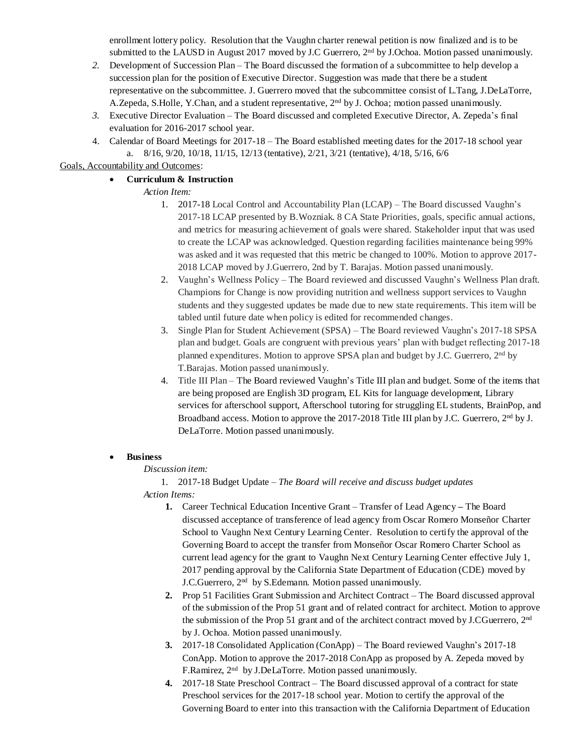enrollment lottery policy.Resolution that the Vaughn charter renewal petition is now finalized and is to be submitted to the LAUSD in August 2017 moved by J.C Guerrero, 2<sup>nd</sup> by J.Ochoa. Motion passed unanimously.

- 2. Development of Succession Plan The Board discussed the formation of a subcommittee to help develop a succession plan for the position of Executive Director*.* Suggestion was made that there be a student representative on the subcommittee. J. Guerrero moved that the subcommittee consist of L.Tang, J.DeLaTorre, A.Zepeda, S.Holle, Y.Chan, and a student representative, 2nd by J. Ochoa; motion passed unanimously.
- *3.* Executive Director Evaluation The Board discussed and completed Executive Director, A. Zepeda's final evaluation for 2016-2017 school year.
- 4. Calendar of Board Meetings for 2017-18 The Board established meeting dates for the 2017-18 school year a. 8/16, 9/20, 10/18, 11/15, 12/13 (tentative), 2/21, 3/21 (tentative), 4/18, 5/16, 6/6

## Goals, Accountability and Outcomes:

## • **Curriculum & Instruction**

## *Action Item:*

- 1. 2017-18 Local Control and Accountability Plan (LCAP) The Board discussed Vaughn's 2017-18 LCAP presented by B.Wozniak. 8 CA State Priorities, goals, specific annual actions, and metrics for measuring achievement of goals were shared. Stakeholder input that was used to create the LCAP was acknowledged. Question regarding facilities maintenance being 99% was asked and it was requested that this metric be changed to 100%. Motion to approve 2017- 2018 LCAP moved by J.Guerrero, 2nd by T. Barajas. Motion passed unanimously.
- 2. Vaughn's Wellness Policy The Board reviewed and discussed Vaughn's Wellness Plan draft. Champions for Change is now providing nutrition and wellness support services to Vaughn students and they suggested updates be made due to new state requirements. This item will be tabled until future date when policy is edited for recommended changes.
- 3. Single Plan for Student Achievement (SPSA) The Board reviewed Vaughn's 2017-18 SPSA plan and budget. Goals are congruent with previous years' plan with budget reflecting 2017-18 planned expenditures. Motion to approve SPSA plan and budget by J.C. Guerrero, 2<sup>nd</sup> by T.Barajas. Motion passed unanimously.
- 4. Title III Plan The Board reviewed Vaughn's Title III plan and budget. Some of the items that are being proposed are English 3D program, EL Kits for language development, Library services for afterschool support, Afterschool tutoring for struggling EL students, BrainPop, and Broadband access. Motion to approve the 2017-2018 Title III plan by J.C. Guerrero, 2<sup>nd</sup> by J. DeLaTorre. Motion passed unanimously.

## • **Business**

#### *Discussion item:*

1. 2017-18 Budget Update – *The Board will receive and discuss budget updates Action Items:*

- **1.** Career Technical Education Incentive Grant Transfer of Lead Agency **–** The Board discussed acceptance of transference of lead agency from Oscar Romero Monseñor Charter School to Vaughn Next Century Learning Center. Resolution to certify the approval of the Governing Board to accept the transfer from Monseñor Oscar Romero Charter School as current lead agency for the grant to Vaughn Next Century Learning Center effective July 1, 2017 pending approval by the California State Department of Education (CDE) moved by J.C.Guerrero, 2nd by S.Edemann. Motion passed unanimously.
- **2.** Prop 51 Facilities Grant Submission and Architect Contract The Board discussed approval of the submission of the Prop 51 grant and of related contract for architect. Motion to approve the submission of the Prop 51 grant and of the architect contract moved by J.CGuerrero,  $2<sup>nd</sup>$ by J. Ochoa. Motion passed unanimously.
- **3.** 2017-18 Consolidated Application (ConApp) The Board reviewed Vaughn's 2017-18 ConApp. Motion to approve the 2017-2018 ConApp as proposed by A. Zepeda moved by F.Ramirez, 2<sup>nd</sup> by J.DeLaTorre. Motion passed unanimously.
- **4.** 2017-18 State Preschool Contract The Board discussed approval of a contract for state Preschool services for the 2017-18 school year. Motion to certify the approval of the Governing Board to enter into this transaction with the California Department of Education